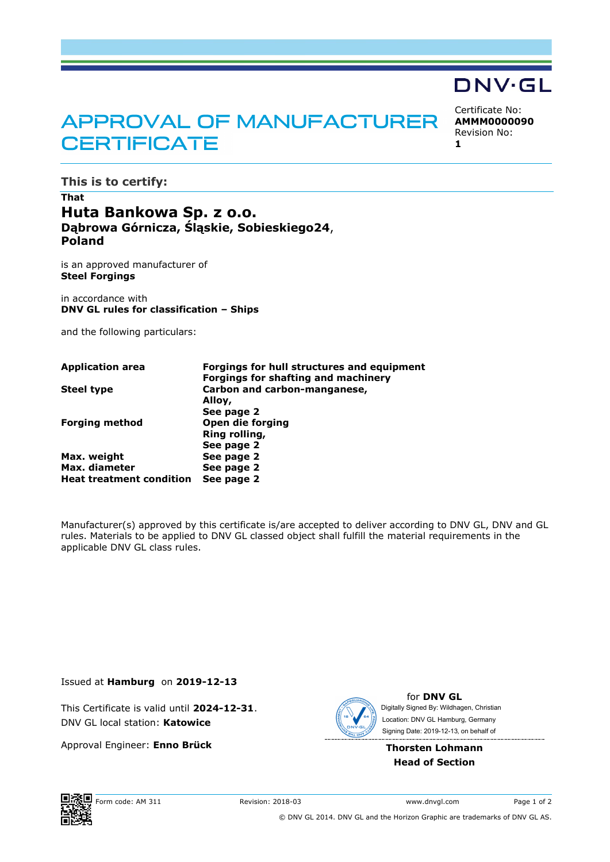# APPROVAL OF MANUFACTURER **CERTIFICATE**

Certificate No: **AMMM0000090** Revision No: **1**

DNV·GL

**This is to certify:**

## **That Huta Bankowa Sp. z o.o. Dąbrowa Górnicza, Śląskie, Sobieskiego24**, **Poland**

is an approved manufacturer of **Steel Forgings**

in accordance with **DNV GL rules for classification – Ships**

and the following particulars:

| <b>Application area</b>         | Forgings for hull structures and equipment |
|---------------------------------|--------------------------------------------|
|                                 | <b>Forgings for shafting and machinery</b> |
| <b>Steel type</b>               | Carbon and carbon-manganese,               |
|                                 | Alloy,                                     |
|                                 | See page 2                                 |
| <b>Forging method</b>           | Open die forging                           |
|                                 | Ring rolling,                              |
|                                 | See page 2                                 |
| Max. weight                     | See page 2                                 |
| Max. diameter                   | See page 2                                 |
| <b>Heat treatment condition</b> | See page 2                                 |

Manufacturer(s) approved by this certificate is/are accepted to deliver according to DNV GL, DNV and GL rules. Materials to be applied to DNV GL classed object shall fulfill the material requirements in the applicable DNV GL class rules.

Issued at **Hamburg** on **2019-12-13**

This Certificate is valid until **2024-12-31**. DNV GL local station: **Katowice**

Approval Engineer: **Enno Brück**



for **DNV GL** Signing Date: 2019-12-13 , on behalf ofDigitally Signed By: Wildhagen, Christian Location: DNV GL Hamburg, Germany

#### **Thorsten Lohmann Head of Section**



© DNV GL 2014. DNV GL and the Horizon Graphic are trademarks of DNV GL AS.